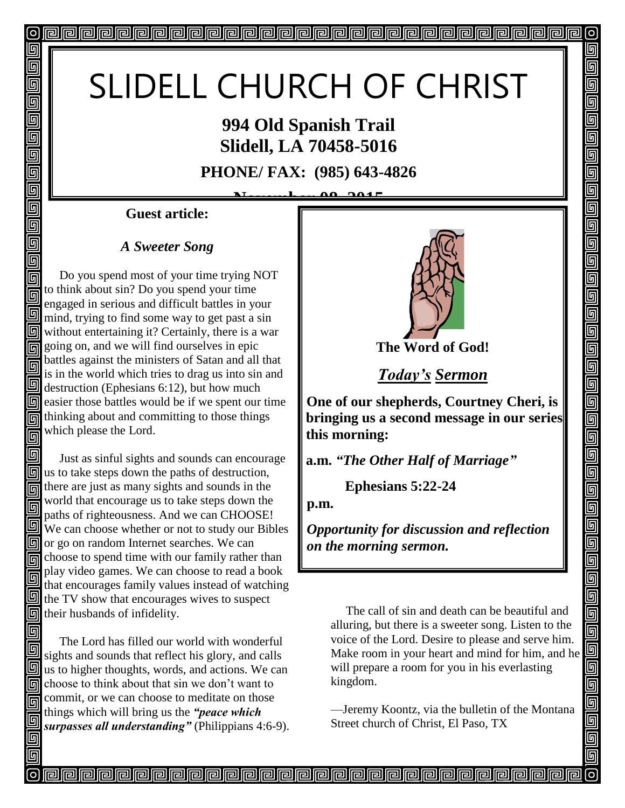# SLIDELL CHURCH OF CHRIST

### **994 Old Spanish Trail Slidell, LA 70458-5016**

**PHONE/ FAX: (985) 643-4826**

<u>LAQ 0.01</u>

**Guest article:**

回

回 回 同 回

回 回 回

回 回

同

同

#### *A Sweeter Song*

回 Do you spend most of your time trying NOT 同 to think about sin? Do you spend your time 同 engaged in serious and difficult battles in your mind, trying to find some way to get past a sin  $\boxed{9}$  without entertaining it? Certainly, there is a war going on, and we will find ourselves in epic battles against the ministers of Satan and all that 同 is in the world which tries to drag us into sin and  $\Box$  destruction (Ephesians 6:12), but how much  $\boxed{9}$  easier those battles would be if we spent our time thinking about and committing to those things which please the Lord. 同

回 Just as sinful sights and sounds can encourage  $\mathbb{I}$  us to take steps down the paths of destruction, there are just as many sights and sounds in the world that encourage us to take steps down the 同 paths of righteousness. And we can CHOOSE! We can choose whether or not to study our Bibles **or** go on random Internet searches. We can choose to spend time with our family rather than play video games. We can choose to read a book 同 that encourages family values instead of watching  $\mathbb{F}$  the TV show that encourages wives to suspect  $\boxed{5}$  their husbands of infidelity.

同 The Lord has filled our world with wonderful sights and sounds that reflect his glory, and calls  $\mathbb{I}$  us to higher thoughts, words, and actions. We can The choose to think about that sin we don't want to commit, or we can choose to meditate on those things which will bring us the *"peace which*  **surpasses all understanding**" (Philippians 4:6-9).



 $\circ$ 

回

5

5

5

5

 $\overline{\mathbb{F}}$ 5  $\overline{\mathbb{F}}$ 

ulaj<br>Bioj

 $\overline{\mathbb{F}}$ 

回

回

回回

 $\overline{\blacksquare}$ 

<u>ieir</u>

olololo<br>Ololol

<u>alai</u>

靣

回

**The Word of God!**

*Today's Sermon*

**One of our shepherds, Courtney Cheri, is bringing us a second message in our series this morning:** 

**a.m.** *"The Other Half of Marriage"*

 **Ephesians 5:22-24**

**p.m.**

**Propopopopopopopopopopopopopopop** 

*Opportunity for discussion and reflection on the morning sermon.* 

 The call of sin and death can be beautiful and alluring, but there is a sweeter song. Listen to the voice of the Lord. Desire to please and serve him. Make room in your heart and mind for him, and he will prepare a room for you in his everlasting kingdom.

—Jeremy Koontz, via the bulletin of the Montana Street church of Christ, El Paso, TX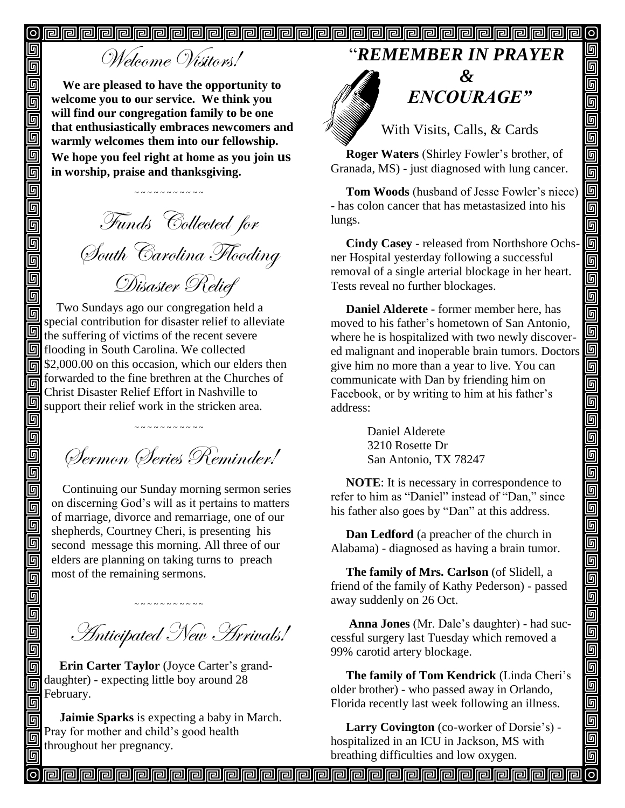$\boldsymbol{\mathsf{D}}$  $\boldsymbol{\circ}$ 

## Welcome Visitors!

回

回

同  $\overline{\overline{\mathbb{G}}}$ 

Ō<br>O

画

回

回 靣 回

**G** 

回 回 回 回

回

同

回

回

回  $\overline{\mathbb{D}}$ 

Ō

回  $\overline{\overline{\mathbb{G}}}$ 面

靣 回 Ō 回  $\overline{\mathbb{G}}$ 回 回 回 回

回 同

同

回

**We are pleased to have the opportunity to welcome you to our service. We think you will find our congregation family to be one that enthusiastically embraces newcomers and warmly welcomes them into our fellowship. We hope you feel right at home as you join us in worship, praise and thanksgiving.**

~ ~ ~ ~ ~ ~ ~ ~ ~ ~

Funds Collected for South Carolina Flooding Disaster Relief

 Two Sundays ago our congregation held a special contribution for disaster relief to alleviate the suffering of victims of the recent severe flooding in South Carolina. We collected **同** \$2,000.00 on this occasion, which our elders then forwarded to the fine brethren at the Churches of Christ Disaster Relief Effort in Nashville to support their relief work in the stricken area.

Sermon Series Reminder!

~ ~ ~ ~ ~ ~ ~ ~ ~ ~ ~

Continuing our Sunday morning sermon series on discerning God's will as it pertains to matters of marriage, divorce and remarriage, one of our shepherds, Courtney Cheri, is presenting his second message this morning. All three of our elders are planning on taking turns to preach most of the remaining sermons.

Anticipated New Arrivals!

 $\sim \sim \sim \sim \sim \sim \sim \sim \sim \sim$ 

 **Erin Carter Taylor** (Joyce Carter's granddaughter) - expecting little boy around 28 February.

 **Jaimie Sparks** is expecting a baby in March. Pray for mother and child's good health throughout her pregnancy.

#### "*REMEMBER IN PRAYER*



# " *ENCOURAGE"*

回

回

可

回

 $\overline{\mathsf{q}}$  $\overline{\overline{\mathsf{g}}}$ 

9000

<u>ele</u>

<u>ololo d</u>

ud al

<u>Fieir</u>

<u>同</u>

<u>a</u>

5

 $\boxed{0}$ 

回回回

واواواواواواواواواوا

画画

 $\overline{\mathsf{G}}$ 

回

With Visits, Calls, & Cards

 **Roger Waters** (Shirley Fowler's brother, of Granada, MS) - just diagnosed with lung cancer.

 **Tom Woods** (husband of Jesse Fowler's niece) - has colon cancer that has metastasized into his lungs.

 **Cindy Casey** - released from Northshore Ochsner Hospital yesterday following a successful removal of a single arterial blockage in her heart. Tests reveal no further blockages.

 **Daniel Alderete -** former member here, has moved to his father's hometown of San Antonio, where he is hospitalized with two newly discovered malignant and inoperable brain tumors. Doctors give him no more than a year to live. You can communicate with Dan by friending him on Facebook, or by writing to him at his father's address:

> Daniel Alderete 3210 Rosette Dr San Antonio, TX 78247

 **NOTE**: It is necessary in correspondence to refer to him as "Daniel" instead of "Dan," since his father also goes by "Dan" at this address.

 **Dan Ledford** (a preacher of the church in Alabama) - diagnosed as having a brain tumor.

 **The family of Mrs. Carlson** (of Slidell, a friend of the family of Kathy Pederson) - passed away suddenly on 26 Oct.

 **Anna Jones** (Mr. Dale's daughter) - had successful surgery last Tuesday which removed a 99% carotid artery blockage.

 **The family of Tom Kendrick** (Linda Cheri's older brother) - who passed away in Orlando, Florida recently last week following an illness.

 **Larry Covington** (co-worker of Dorsie's) hospitalized in an ICU in Jackson, MS with breathing difficulties and low oxygen.

**Peopopopopopopopopopopopopopopop**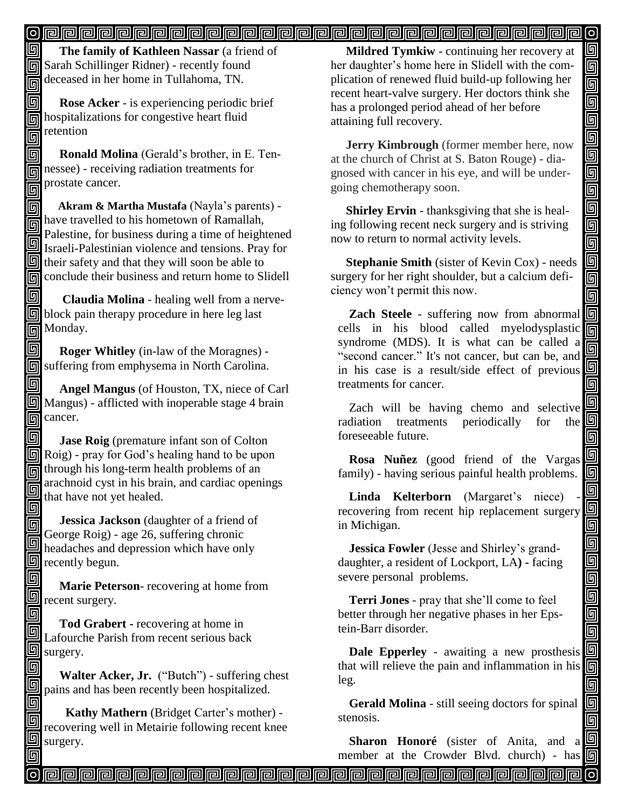#### <u>o popopopopopopopopopopopopopopopopop</u>

同 **The family of Kathleen Nassar** (a friend of **同 Sarah Schillinger Ridner)** - recently found deceased in her home in Tullahoma, TN.

同  **Rose Acker** - is experiencing periodic brief hospitalizations for congestive heart fluid  $\mathbb{R}$  retention

Π  **Ronald Molina** (Gerald's brother, in E. Ten- $\overline{\overline{\mathbb{F}}}$  nessee) - receiving radiation treatments for prostate cancer. 同

回  **Akram & Martha Mustafa** (Nayla's parents) -  $\overline{\mathbb{F}}$  have travelled to his hometown of Ramallah, Palestine, for business during a time of heightened  $\Box$  Falestinic, to because  $\Box$   $\Box$  $\Box$  their safety and that they will soon be able to conclude their business and return home to Slidell

同  **Claudia Molina** - healing well from a nerveblock pain therapy procedure in here leg last Monday.

回  **Roger Whitley** (in-law of the Moragnes) - **同** suffering from emphysema in North Carolina.

回  **Angel Mangus** (of Houston, TX, niece of Carl  $\boxed{9}$  Mangus) - afflicted with inoperable stage 4 brain  $\overline{\mathbb{G}}$  cancer.

回 **Jase Roig** (premature infant son of Colton  $\boxed{5}$  Roig) - pray for God's healing hand to be upon  $\overline{\text{m}}$  through his long-term health problems of an arachnoid cyst in his brain, and cardiac openings 回 that have not yet healed. 同

 **Jessica Jackson** (daughter of a friend of 6 George Roig) - age 26, suffering chronic  $\Box$  beadaches and depression which have only  $\overline{\mathbb{S}}$  recently begun.

回  **Marie Peterson**- recovering at home from **n** recent surgery.

回 **Tod Grabert -** recovering at home in Lafourche Parish from recent serious back **S** surgery. 回

回

 **Walter Acker, Jr.** ("Butch") - suffering chest pains and has been recently been hospitalized.

回  **Kathy Mathern** (Bridget Carter's mother) - 回 recovering well in Metairie following recent knee **S** surgery.

 **Mildred Tymkiw** - continuing her recovery at her daughter's home here in Slidell with the complication of renewed fluid build-up following her recent heart-valve surgery. Her doctors think she has a prolonged period ahead of her before attaining full recovery.

 $\left[ \circ \right]$ 

回 回

gaaaaaaaaaaa

 $\overline{\overline{\mathsf{g}}}$ 

回 靣 靣

<u>iaja</u>

<u>g al</u>

回 画

回 画

a a a a a a a

90<br>90

<u>同同</u>

回 回

 **Jerry Kimbrough** (former member here, now at the church of Christ at S. Baton Rouge) - diagnosed with cancer in his eye, and will be undergoing chemotherapy soon. Î

 **Shirley Ervin** - thanksgiving that she is healing following recent neck surgery and is striving now to return to normal activity levels.

 **Stephanie Smith** (sister of Kevin Cox) - needs surgery for her right shoulder, but a calcium deficiency won't permit this now.

**Zach Steele** - suffering now from abnormal cells in his blood called myelodysplastic syndrome (MDS). It is what can be called a "second cancer." It's not cancer, but can be, and in his case is a result/side effect of previous treatments for cancer.

Zach will be having chemo and selective radiation treatments periodically for the foreseeable future.

**Rosa Nuñez** (good friend of the Vargas family) - having serious painful health problems.

Linda **Kelterborn** (Margaret's niece) recovering from recent hip replacement surgery in Michigan.

**Jessica Fowler** (Jesse and Shirley's granddaughter, a resident of Lockport, LA**) -** facing severe personal problems.

**Terri Jones** - pray that she'll come to feel better through her negative phases in her Epstein-Barr disorder.

**Dale Epperley** - awaiting a new prosthesis that will relieve the pain and inflammation in his leg.

**Gerald Molina** - still seeing doctors for spinal stenosis.

**Sharon Honoré** (sister of Anita, and a member at the Crowder Blvd. church) - has